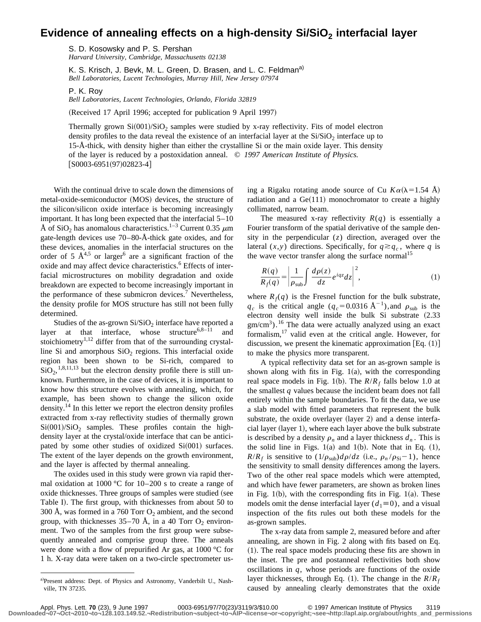## **Evidence of annealing effects on a high-density Si/SiO<sub>2</sub> interfacial layer**

S. D. Kosowsky and P. S. Pershan *Harvard University, Cambridge, Massachusetts 02138*

K. S. Krisch, J. Bevk, M. L. Green, D. Brasen, and L. C. Feldman<sup>a)</sup> *Bell Laboratories, Lucent Technologies, Murray Hill, New Jersey 07974*

P. K. Roy

*Bell Laboratories, Lucent Technologies, Orlando, Florida 32819*

(Received 17 April 1996; accepted for publication 9 April 1997)

Thermally grown  $Si(001)/SiO<sub>2</sub>$  samples were studied by x-ray reflectivity. Fits of model electron density profiles to the data reveal the existence of an interfacial layer at the  $Si/SiO<sub>2</sub>$  interface up to 15-Å-thick, with density higher than either the crystalline Si or the main oxide layer. This density of the layer is reduced by a postoxidation anneal. © *1997 American Institute of Physics.*  $[50003-6951(97)02823-4]$ 

With the continual drive to scale down the dimensions of metal-oxide-semiconductor (MOS) devices, the structure of the silicon/silicon oxide interface is becoming increasingly important. It has long been expected that the interfacial 5–10 Å of SiO<sub>2</sub> has anomalous characteristics.<sup>1–3</sup> Current 0.35  $\mu$ m gate-length devices use 70–80-Å-thick gate oxides, and for these devices, anomalies in the interfacial structures on the order of 5  $\AA^{4,5}$  or larger<sup>6</sup> are a significant fraction of the oxide and may affect device characteristics.<sup>6</sup> Effects of interfacial microstructures on mobility degradation and oxide breakdown are expected to become increasingly important in the performance of these submicron devices.<sup>7</sup> Nevertheless, the density profile for MOS structure has still not been fully determined.

Studies of the as-grown  $Si/SiO<sub>2</sub>$  interface have reported a layer at that interface, whose structure<sup>6,8–11</sup> and stoichiometry<sup>1,12</sup> differ from that of the surrounding crystalline Si and amorphous  $SiO<sub>2</sub>$  regions. This interfacial oxide region has been shown to be Si-rich, compared to  $SiO_2$ , <sup>1,8,11,13</sup> but the electron density profile there is still unknown. Furthermore, in the case of devices, it is important to know how this structure evolves with annealing, which, for example, has been shown to change the silicon oxide density.<sup>14</sup> In this letter we report the electron density profiles extracted from x-ray reflectivity studies of thermally grown  $Si(001)/SiO<sub>2</sub>$  samples. These profiles contain the highdensity layer at the crystal/oxide interface that can be anticipated by some other studies of oxidized  $Si(001)$  surfaces. The extent of the layer depends on the growth environment, and the layer is affected by thermal annealing.

The oxides used in this study were grown via rapid thermal oxidation at 1000 °C for 10–200 s to create a range of oxide thicknesses. Three groups of samples were studied (see Table I). The first group, with thicknesses from about 50 to 300 Å, was formed in a 760 Torr  $O_2$  ambient, and the second group, with thicknesses  $35-70$  Å, in a 40 Torr  $O_2$  environment. Two of the samples from the first group were subsequently annealed and comprise group three. The anneals were done with a flow of prepurified Ar gas, at 1000 °C for 1 h. X-ray data were taken on a two-circle spectrometer using a Rigaku rotating anode source of Cu  $K\alpha(\lambda=1.54 \text{ Å})$ radiation and a  $Ge(111)$  monochromator to create a highly collimated, narrow beam.

The measured x-ray reflectivity  $R(q)$  is essentially a Fourier transform of the spatial derivative of the sample density in the perpendicular (*z*) direction, averaged over the lateral  $(x, y)$  directions. Specifically, for  $q \geq q_c$ , where *q* is the wave vector transfer along the surface normal<sup>15</sup>

$$
\frac{R(q)}{R_f(q)} = \left| \frac{1}{\rho_{\rm sub}} \int \frac{d\rho(z)}{dz} e^{iqz} dz \right|^2, \tag{1}
$$

where  $R_f(q)$  is the Fresnel function for the bulk substrate,  $q_c$  is the critical angle  $(q_c=0.0316 \text{ Å}^{-1})$ , and  $\rho_{sub}$  is the electron density well inside the bulk Si substrate  $(2.33)$  $gm/cm<sup>3</sup>$ ).<sup>16</sup> The data were actually analyzed using an exact formalism,<sup>17</sup> valid even at the critical angle. However, for discussion, we present the kinematic approximation  $[Eq. (1)]$ to make the physics more transparent.

A typical reflectivity data set for an as-grown sample is shown along with fits in Fig.  $1(a)$ , with the corresponding real space models in Fig. 1(b). The  $R/R_f$  falls below 1.0 at the smallest *q* values because the incident beam does not fall entirely within the sample boundaries. To fit the data, we use a slab model with fitted parameters that represent the bulk substrate, the oxide overlayer (layer 2) and a dense interfacial layer (layer 1), where each layer above the bulk substrate is described by a density  $\rho_n$  and a layer thickness  $d_n$ . This is the solid line in Figs.  $1(a)$  and  $1(b)$ . Note that in Eq.  $(1)$ ,  $R/R_f$  is sensitive to  $(1/\rho_{sub})d\rho/dz$  (i.e.,  $\rho_n/\rho_{Si}-1$ ), hence the sensitivity to small density differences among the layers. Two of the other real space models which were attempted, and which have fewer parameters, are shown as broken lines in Fig.  $1(b)$ , with the corresponding fits in Fig.  $1(a)$ . These models omit the dense interfacial layer  $(d_1\equiv 0)$ , and a visual inspection of the fits rules out both these models for the as-grown samples.

The x-ray data from sample 2, measured before and after annealing, are shown in Fig. 2 along with fits based on Eq.  $(1)$ . The real space models producing these fits are shown in the inset. The pre and postanneal reflectivities both show oscillations in *q*, whose periods are functions of the oxide layer thicknesses, through Eq. (1). The change in the  $R/R_f$ caused by annealing clearly demonstrates that the oxide

a)Present address: Dept. of Physics and Astronomy, Vanderbilt U., Nashville, TN 37235.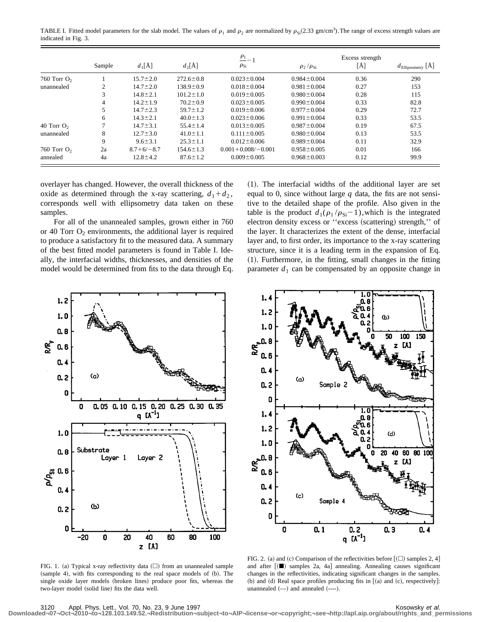TABLE I. Fitted model parameters for the slab model. The values of  $\rho_1$  and  $\rho_2$  are normalized by  $\rho_{Si}(2.33 \text{ gm/cm}^3)$ . The range of excess strength values are indicated in Fig. 3.

|               | Sample | $d_1[\AA]$      | $d_2[A]$        | $\frac{\rho_1}{\rho_2}$<br>$\rho_{\rm Si}$ | $\rho_2/\rho_{Si}$ | Excess strength<br>[Å] | $d_{\text{Ellipsometry}} [\text{\AA}]$ |
|---------------|--------|-----------------|-----------------|--------------------------------------------|--------------------|------------------------|----------------------------------------|
| 760 Torr $O2$ |        | $15.7 \pm 2.0$  | $272.6 \pm 0.8$ | $0.023 \pm 0.004$                          | $0.984 \pm 0.004$  | 0.36                   | 290                                    |
| unannealed    | 2      | $14.7 \pm 2.0$  | $138.9 \pm 0.9$ | $0.018 \pm 0.004$                          | $0.981 \pm 0.004$  | 0.27                   | 153                                    |
|               | 3      | $14.8 \pm 2.1$  | $101.2 \pm 1.0$ | $0.019 \pm 0.005$                          | $0.980 \pm 0.004$  | 0.28                   | 115                                    |
|               | 4      | $14.2 \pm 1.9$  | $70.2 \pm 0.9$  | $0.023 \pm 0.005$                          | $0.990 \pm 0.004$  | 0.33                   | 82.8                                   |
|               |        | $14.7 \pm 2.3$  | $59.7 \pm 1.2$  | $0.019 \pm 0.006$                          | $0.977 \pm 0.004$  | 0.29                   | 72.7                                   |
|               | 6      | $14.3 \pm 2.1$  | $40.0 \pm 1.3$  | $0.023 \pm 0.006$                          | $0.991 \pm 0.004$  | 0.33                   | 53.5                                   |
| 40 Torr $O2$  |        | $14.7 \pm 3.1$  | $55.4 \pm 1.4$  | $0.013 \pm 0.005$                          | $0.987 \pm 0.004$  | 0.19                   | 67.5                                   |
| unannealed    | 8      | $12.7 \pm 3.0$  | $41.0 \pm 1.1$  | $0.111 \pm 0.005$                          | $0.980 \pm 0.004$  | 0.13                   | 53.5                                   |
|               | 9      | $9.6 \pm 3.1$   | $25.3 \pm 1.1$  | $0.012 \pm 0.006$                          | $0.989 \pm 0.004$  | 0.11                   | 32.9                                   |
| 760 Torr $O2$ | 2a     | $8.7 + 6/- 8.7$ | $154.6 \pm 1.3$ | $0.001 + 0.008/- 0.001$                    | $0.958 \pm 0.005$  | 0.01                   | 166                                    |
| annealed      | 4a     | $12.8 \pm 4.2$  | $87.6 \pm 1.2$  | $0.009 \pm 0.005$                          | $0.968 \pm 0.003$  | 0.12                   | 99.9                                   |

overlayer has changed. However, the overall thickness of the oxide as determined through the x-ray scattering,  $d_1 + d_2$ , corresponds well with ellipsometry data taken on these samples.

For all of the unannealed samples, grown either in 760 or 40 Torr  $O_2$  environments, the additional layer is required to produce a satisfactory fit to the measured data. A summary of the best fitted model parameters is found in Table I. Ideally, the interfacial widths, thicknesses, and densities of the model would be determined from fits to the data through Eq.  $(1)$ . The interfacial widths of the additional layer are set equal to 0, since without large *q* data, the fits are not sensitive to the detailed shape of the profile. Also given in the table is the product  $d_1(\rho_1 / \rho_{Si} - 1)$ , which is the integrated electron density excess or "excess (scattering) strength," of the layer. It characterizes the extent of the dense, interfacial layer and, to first order, its importance to the x-ray scattering structure, since it is a leading term in the expansion of Eq.  $(1)$ . Furthermore, in the fitting, small changes in the fitting parameter  $d_1$  can be compensated by an opposite change in





FIG. 1. (a) Typical x-ray reflectivity data  $(\square)$  from an unannealed sample (sample 4), with fits corresponding to the real space models of (b). The single oxide layer models (broken lines) produce poor fits, whereas the two-layer model (solid line) fits the data well.

FIG. 2. (a) and (c) Comparison of the reflectivities before  $[$  ( $\square$ ) samples 2, 4 $]$ and after  $[$ ( $\blacksquare$ ) samples 2a, 4a] annealing. Annealing causes significant changes in the reflectivities, indicating significant changes in the samples. (b) and (d) Real space profiles producing fits in  $(a)$  and (c), respectively]: unannealed  $(-)$  and annealed  $(-...)$ .